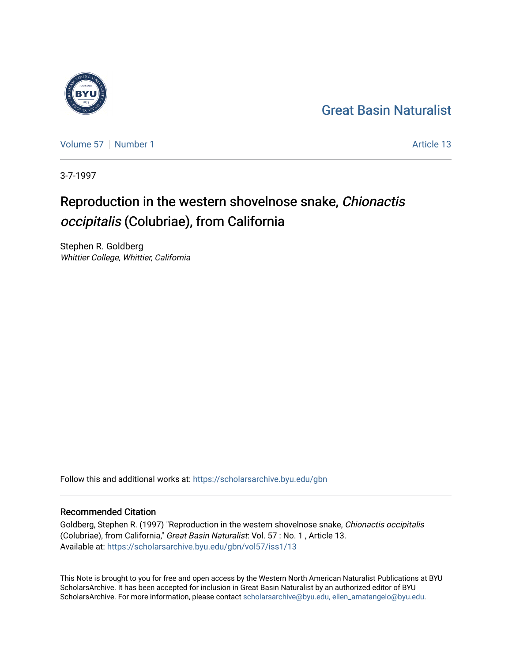#### [Great Basin Naturalist](https://scholarsarchive.byu.edu/gbn)



[Volume 57](https://scholarsarchive.byu.edu/gbn/vol57) [Number 1](https://scholarsarchive.byu.edu/gbn/vol57/iss1) Article 13

3-7-1997

### Reproduction in the western shovelnose snake, Chionactis occipitalis (Colubriae), from California

Stephen R. Goldberg Whittier College, Whittier, California

Follow this and additional works at: [https://scholarsarchive.byu.edu/gbn](https://scholarsarchive.byu.edu/gbn?utm_source=scholarsarchive.byu.edu%2Fgbn%2Fvol57%2Fiss1%2F13&utm_medium=PDF&utm_campaign=PDFCoverPages) 

#### Recommended Citation

Goldberg, Stephen R. (1997) "Reproduction in the western shovelnose snake, Chionactis occipitalis (Colubriae), from California," Great Basin Naturalist: Vol. 57 : No. 1 , Article 13. Available at: [https://scholarsarchive.byu.edu/gbn/vol57/iss1/13](https://scholarsarchive.byu.edu/gbn/vol57/iss1/13?utm_source=scholarsarchive.byu.edu%2Fgbn%2Fvol57%2Fiss1%2F13&utm_medium=PDF&utm_campaign=PDFCoverPages) 

This Note is brought to you for free and open access by the Western North American Naturalist Publications at BYU ScholarsArchive. It has been accepted for inclusion in Great Basin Naturalist by an authorized editor of BYU ScholarsArchive. For more information, please contact [scholarsarchive@byu.edu, ellen\\_amatangelo@byu.edu.](mailto:scholarsarchive@byu.edu,%20ellen_amatangelo@byu.edu)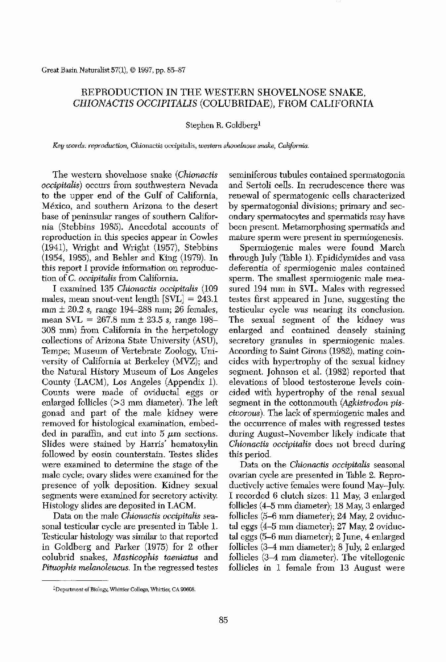Great Basin Naturalist 57(1), © 1997, pp. 85-87

## REPRODUCTION IN THE WESTERN SHOVELNOSE SNAKE, *CHIONACTIS OCCIPITALIS* (COLUBRIDAE), FROM CALIFORNIA

### Stephen R. Goldberg!

Key *words; reproduction,* Chionactis occipitalis, *western shovelnose snake, California.*

I examined 135 *Chionactis occipitalis (109* males, mean snout-vent length [SVL] = 243.1 mm + 20.2 *s,* range 194-288 mm; 26 females, mean  $SVL = 267.8$  mm  $\pm$  23.5 *s*, range 198-308 mm) from California in the herpetology collections of Arizona State University (ABU), Tempe; Museum of Vertebrate Zoology, University of California at Berkeley (MVZ); and the Natural History Museum of Los Angeles County (LACM), Los Angeles (Appendix 1). Counts were made of oviductal eggs or enlarged follicles (>3 mm diameter). The left gonad and part of the male kidney were removed for histological examination, embedded in paraffin, and cut into  $5 \mu m$  sections. Slides were stained by Harris' hematoxylin followed by eosin counterstain. Testes slides were examined to determine the stage of the male cycle; ovary slides were examined for the presence of yolk deposition. Kidney sexual segments were examined for secretory activity. Histology slides are deposited in LACM. Data On the male *Chionactis occipitalis* seasonal testicular cycle are presented in Table 1. Testicular histology was similar to that reported in Goldberg and Parker (1975) for 2 other colubrid snakes, *Masticophis taeniatus* and *Pituophis melanoleucus.* In the regressed testes

The western shovelnose snake *(Chionactis occipitalis)* occurs from southwestern Nevada to the upper end of the Gulf of California, Mexico, and southern Arizona to the desert base of peninsular ranges of southern California (Stebbins 1985). Anecdotal accounts of reproduction in this species appear in Cowles (1941), Wright and Wright (1957), Stebbins (1954, 1985), and Behler and King (1979). In this report I provide information on reproduction of C. *occipitalis* from California.

IDepartment of Biology, Whittier College, Whittier, CA 90608.



seminiferous tubules contained spermatogonia and Sertoli cells. In recrudescence there was renewal of spermatogenic cells characterized by spermatogonial divisions; primary and secondary spermatocytes and spermatids may have been present. Metamorphosing spermatids and mature sperm were present in spermiogenesis.

Spermiogenic males were found March through July (Table I). Epididymides and vasa deferentia of spermiogenic males contained sperm. The smallest spermiogenic male measured 194 mm in BVL. Males with regressed testes first appeared in June, suggesting the testicular cycle was nearing its conclusion. The sexual segment of the kidney was enlarged and contained densely staining secretory granules in spermiogenic males. According to Saint Girons (1982), mating coincides with hypertrophy of the sexual kidney segment. Johnson et al. (1982) reported that elevations of blood testosterone levels coincided with hypertrophy of the renal sexual segment in the cottonmouth *(Agkistrodon piscivorous*). The lack of spermiogenic males and the occurrence of males with regressed testes during August-November likely indicate that *Chionactis occipitalis* does not breed during this period. Data on the *Chionactis occipitalis* seasonal ovarian cycle are presented in Table 2. Reproductively active females were found May-July. I recorded 6 clutch sizes, 11 May, 3 enlarged follicles (4-5 mm diameter); 18 May, 3 enlarged follicles (5-6 mm diameter); 24 May, 2 oviductal eggs (4-5 mm diameter); 27 May, 2 oviductal eggs (5–6 mm diameter); 2 June, 4 enlarged follicles (3-4 mm diameter); 8 July, 2 enlarged follicles (3–4 mm diameter). The vitellogenic follicles in 1 female from 13 August were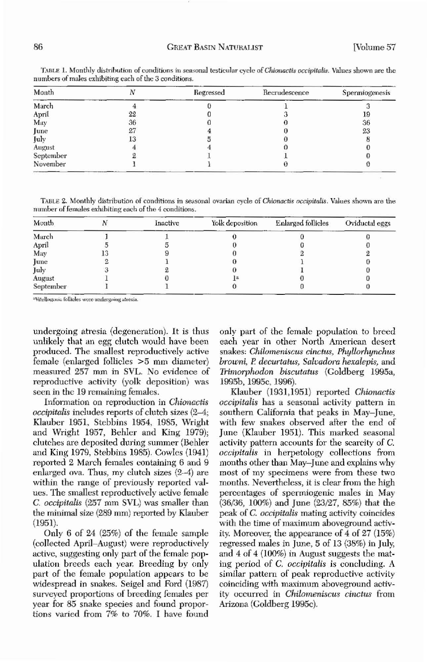| Month     |    | Regressed | Recrudescence | Spermiogenesis |
|-----------|----|-----------|---------------|----------------|
| March     |    |           |               |                |
| April     | 22 |           |               | 19             |
| May       | 36 |           |               | 36             |
| June      | 27 |           |               | 23             |
| July      | 13 |           |               |                |
| August    |    |           |               |                |
| September |    |           |               |                |
| November  |    |           |               |                |

TABLE 1. Monthly distribution of conditions in seasonal testicular cycle of *Chionactis occipitalis*. Values shown are the numbers of males exhibiting each of the 3 conditions.

TABLE 2. Monthly distribution of conditions in seasonal ovarian cycle of Chionactis *occipitalis*. Values shown are the number of females exhibiting each of the 4 conditions.

| Month     | Inactive | Yolk deposition | <b>Enlarged follicles</b> | Oviductal eggs |
|-----------|----------|-----------------|---------------------------|----------------|
| March     |          |                 |                           |                |
| April     |          |                 |                           |                |
| May       |          |                 |                           |                |
| June      |          |                 |                           |                |
| July      |          |                 |                           |                |
| August    |          |                 |                           |                |
| September |          |                 |                           |                |

undergoing atresia (degeneration). It is thus unlikely that an egg clutch would have been produced. The smallest reproductively active female (enlarged follicles >5 mm diameter) measured 257 mm in SVL. No evidence of reproductive activity (yolk deposition) was seen in the 19 remaining females.

# year for 85 snake species and found proportions varied from 7% to 70%. [ have found

# Arizona (Goldberg 1995c).

Klauber (1931,1951) reported *Chwnactis occipitalis* has a seasonal activity pattern in southern California that peaks in May-June, with few snakes observed after the end of June (Klauber 1951). This marked seasonal activity pattern accounts for the scarcity of C. *occipitalis* in herpetology collections from months other than May-June and explains why most of my specimens were from these two months. Nevertheless, it is clear from the high percentages of spermiogenic males in May (36/36, l00%) and June (23/27, *B5%)* that the peak of *C. occipitalis* mating activity coincides with the time of maximum aboveground activity. Moreover, the appearance of 4 of 27 (15%) regressed males in June, 5 of 13 (38%) in July, and 4 of 4 (100%) in August suggests the mating period of *C. occipitalis* is concluding. A similar pattern of peak reproductive activity coinciding with maximum aboveground activity occurred in *Chilomeniscus cinctus* from

Information on reproduction in *Chionactis occipitalis* includes reports of clutch sizes (2-4; Klauher 1951, Stebbins 1954, 1985, Wright and Wright 1957, Behler and King 1979); clutches are deposited during summer (Behler and King 1979, Stebbins 1985). Cowles (1941) reported 2 March females containing 6 and 9 enlarged ova. Thus, my clutch sizes (2-4) are within the range of previously reported values. The smallest reproductively active female C. *occipitalis* (257 mm SVL) was smaller than the minimal size (289 mm) reported by Klauber (1951).

Only 6 of 24 (25%) of the female sample (collected April–August) were reproductively active, suggesting only part of the female population breeds each year. Breeding by only part of the female population appears to be widespread in snakes. Seigel and Ford (1987) surveyed proportions of hreeding females per only part of the female population to breed each year in other North American desert snakes' *Chiknnen;"cu.s cinetus, Phyllorhynehu.s browni, P. decurtatus, Salvadora hexalepis, and Trimorphodon biscutatus* (Goldberg 1995a, 1995b,1995c, 1996).